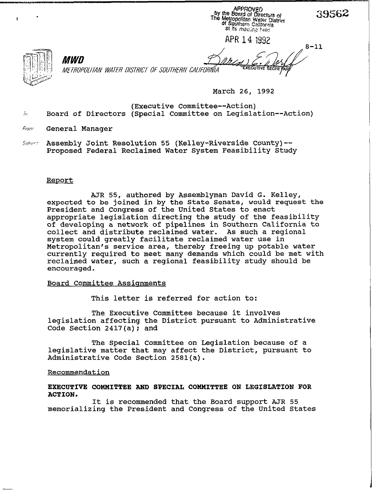APR 14 1992

 $\mathbf{r}$ 

METROPOLITAN WATER DISTRICT OF SOUTHERN CALIFORNIA

March 26, 1992

(Executive Committee--Action)  $\bar{w}$  Board of Directors (Special Committee on Legislation--Action)

From General Manager

MWN

Subyer: Assembly Joint Resolution 55 (Kelley-Riverside County)--Proposed Federal Reclaimed Water System Feasibility Study

# Report

expected to be joined in by the State Senate, would request the AJR 55, authored by Assemblyman David G. Kelley, President and Congress of the United States to enact appropriate legislation directing the study of the feasibility of developing a network of pipelines in Southern California to<br>collect and distribute reclaimed water. As such a regional collect and distribute reclaimed water. system could greatly facilitate reclaimed water use in Metropolitan's service area, thereby freeing up potable water currently required to meet many demands which could be met with reclaimed water, such a regional feasibility study should be encouraged.

## Board Committee Assignments

This letter is referred for action to:

The Executive Committee because it involves legislation affecting the District pursuant to Administrative Code Section 2417(a); and

The Special Committee on Legislation because of a leqislative matter that may affect the District, pursuant to Administrative Code Section 2581(a).

### Recommendation

## EXECUTIVE COMMITTEE AND SPECIAL COMMITTEE ON LEGISLATION FOR ACTION.

It is recommended that the Board support AJR 55 memorializing the President and Congress of the United States

 $8 - 11$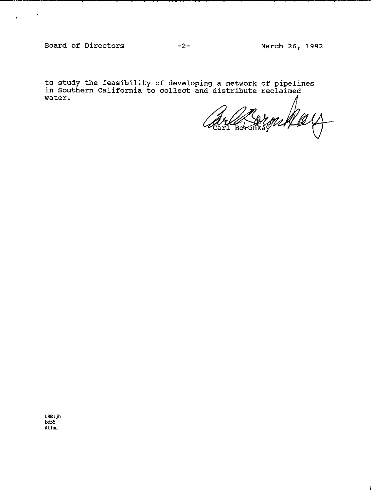<sup>r</sup>'

**to study the feasibility of developing a network of pipelines in Southern California to collect and distribute reclaimed water.** 

ron New Carl Boronkay

**LRB: jh bd55** Attm.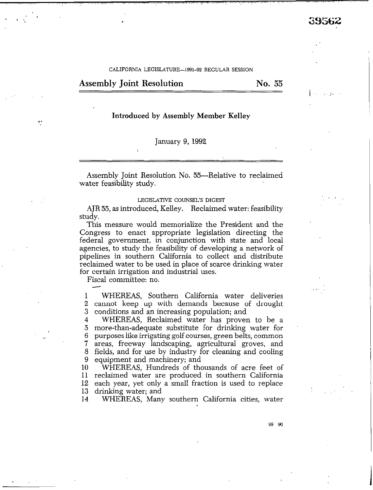I

#### CALIFORNIA LEGISLATURE-1991-92 REGULAR SESSION

Assembly Joint Resolution No. 55

# Introduced by Assembly Member Kelley

### January 9, 1992

Assembly Joint Resolution No. 55—Relative to reclaimed water feasibility study.

#### LEGISLATIVE COUNSEL'S DIGEST

AJR 55, as introduced, Kelley. Reclaimed water: feasibility study.

This measure would memorialize the President and the Congress to enact appropriate legislation directing the federal government, in conjunction with state and local agencies, to study the feasibility of developing a network of pipelines in southern California to collect and distribute reclaimed water to be used in place of scarce drinking water for certain irrigation and industrial uses.

Fiscal committee: no.

1 2 3 WHEREAS, Southern California water deliveries cannot keep up with demands because of drought conditions and an increasing population; and

4 5 6 7 8 9 WHEREAS, Reclaimed water has proven to be a more-than-adequate substitute for drinking water for purposes like irrigating **golf** courses, green belts, common areas, freeway landscaping, agricultural groves, and fields, and for use by industry for cleaning and cooling equipment and machinery; and

**10 11**  reclaimed water are produced in southern California 12 13 WHEREAS, Hundreds of thousands of acre feet of each year, yet only a small fraction is used to replace drinking water; and

14 WHEREAS, Many southern California cities, water

99 90